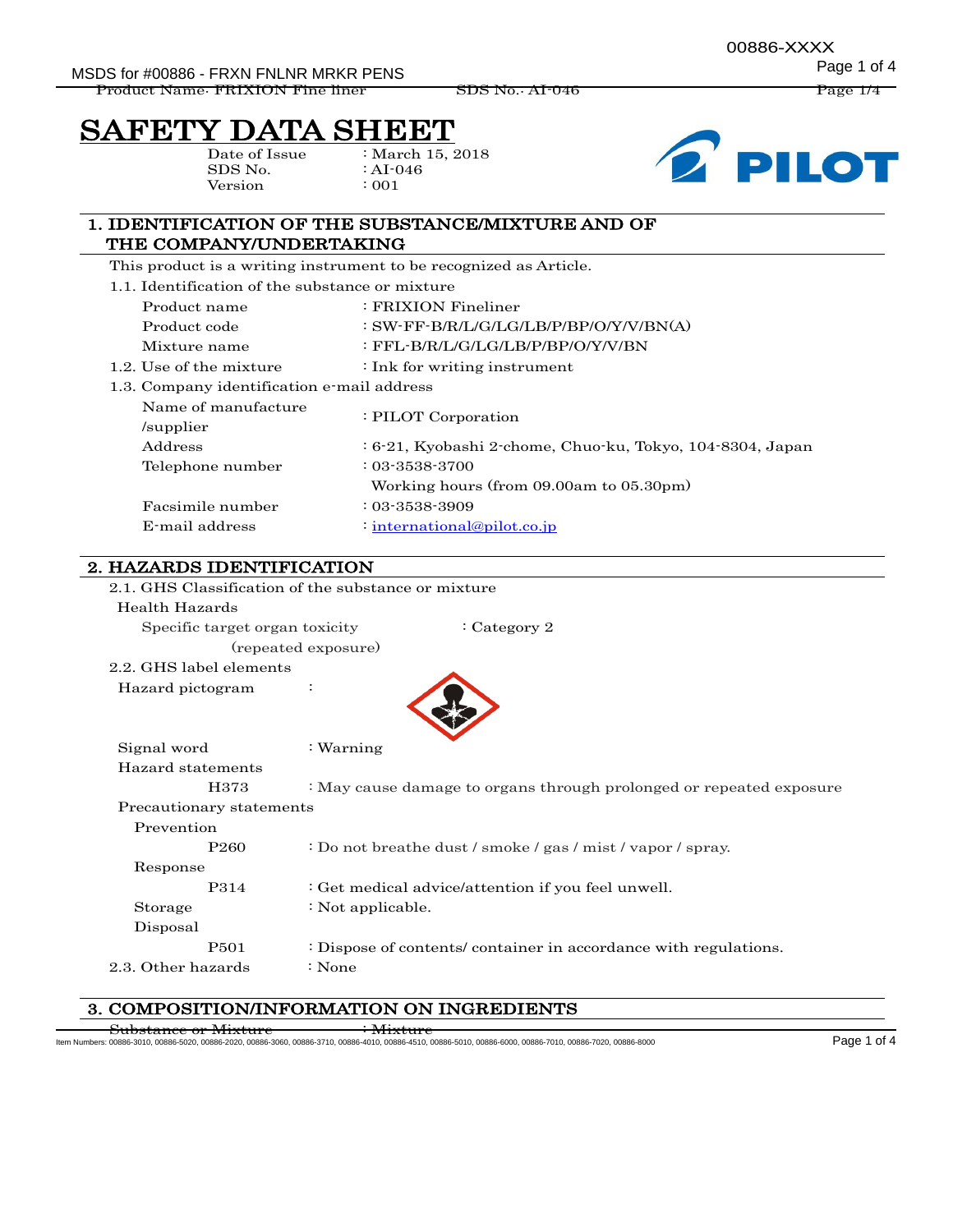MSDS for #00886 - FRXN FNLNR MRKR PENS

Product Name: FRIXION Fine liner SDS No.: AI-046 Page 1/4

# SAFETY DATA SHEET

Date of Issue SDS No. Version

: March 15, 2018 : AI-046 : 001



# 1. IDENTIFICATION OF THE SUBSTANCE/MIXTURE AND OF THE COMPANY/UNDERTAKING

This product is a writing instrument to be recognized as Article.

1.1. Identification of the substance or mixture

|                                         | Product name                               | : FRIXION Fineliner                                         |  |
|-----------------------------------------|--------------------------------------------|-------------------------------------------------------------|--|
|                                         |                                            |                                                             |  |
|                                         | Product code                               | : SW-FF-B/R/L/G/LG/LB/P/BP/O/Y/V/BN(A)                      |  |
|                                         | Mixture name                               | : FFL-B/R/L/G/LG/LB/P/BP/O/Y/V/BN                           |  |
|                                         | 1.2. Use of the mixture                    | $\cdot$ Ink for writing instrument                          |  |
|                                         | 1.3. Company identification e-mail address |                                                             |  |
|                                         | Name of manufacture                        |                                                             |  |
| /supplier                               |                                            | : PILOT Corporation                                         |  |
|                                         | Address                                    | $-6.21$ , Kyobashi 2-chome, Chuo-ku, Tokyo, 104-8304, Japan |  |
|                                         | Telephone number                           | $: 03 - 3538 - 3700$                                        |  |
| Working hours (from 09.00am to 05.30pm) |                                            |                                                             |  |
|                                         | Facsimile number                           | $: 03 - 3538 - 3909$                                        |  |
|                                         | E-mail address                             | $:$ international@pilot.co.jp                               |  |

# 2. HAZARDS IDENTIFICATION

| 2.1. GHS Classification of the substance or mixture |                                                                     |  |  |  |
|-----------------------------------------------------|---------------------------------------------------------------------|--|--|--|
| Health Hazards                                      |                                                                     |  |  |  |
| Specific target organ toxicity                      | $:$ Category 2                                                      |  |  |  |
|                                                     | (repeated exposure)                                                 |  |  |  |
| 2.2. GHS label elements                             |                                                                     |  |  |  |
| Hazard pictogram                                    |                                                                     |  |  |  |
|                                                     |                                                                     |  |  |  |
|                                                     |                                                                     |  |  |  |
| Signal word                                         | $:$ Warning                                                         |  |  |  |
| Hazard statements                                   |                                                                     |  |  |  |
| H373                                                | : May cause damage to organs through prolonged or repeated exposure |  |  |  |
|                                                     | Precautionary statements                                            |  |  |  |
| Prevention                                          |                                                                     |  |  |  |
| P <sub>260</sub>                                    | : Do not breathe dust / smoke / gas / mist / vapor / spray.         |  |  |  |
| Response                                            |                                                                     |  |  |  |
| P314                                                | : Get medical advice/attention if you feel unwell.                  |  |  |  |
| Storage                                             | : Not applicable.                                                   |  |  |  |
| Disposal                                            |                                                                     |  |  |  |
| P501                                                | : Dispose of contents/ container in accordance with regulations.    |  |  |  |
| 2.3. Other hazards                                  | : None                                                              |  |  |  |
|                                                     |                                                                     |  |  |  |

# 3. COMPOSITION/INFORMATION ON INGREDIENTS

 $\tt{ubstance~or~Mixture} \qquad \qquad \cdot \textrm{Mixture}$ 

Item Numbers: 00886-3010, 00886-5020, 00886-2020, 00886-3060, 00886-3710, 00886-4010, 00886-4510, 00886-5010, 00886-6000, 00886-7010, 00886-7020, 00886-8000 Page 1 of 4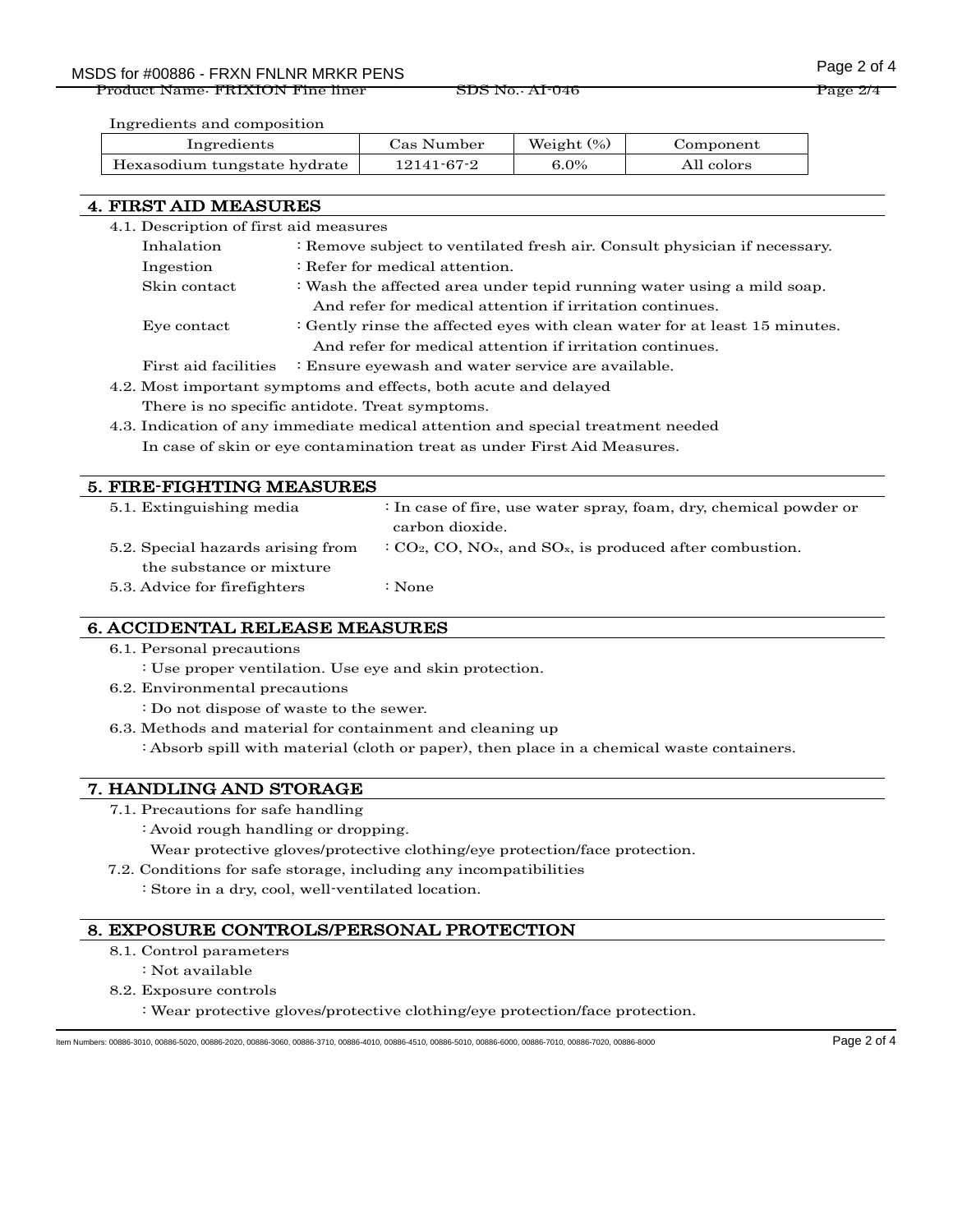Product Name: FRIXION Fine liner SDS No.: AI-046 Product Name: Page 2/4

Ingredients and composition

| Ingredients                  | Cas Number | Weight $(\%)$ | Component  |
|------------------------------|------------|---------------|------------|
| Hexasodium tungstate hydrate | 12141-67-2 | $6.0\%$       | All colors |

## 4. FIRST AID MEASURES

| 4.1. Description of first aid measures                   |                                                                            |  |
|----------------------------------------------------------|----------------------------------------------------------------------------|--|
| Inhalation                                               | : Remove subject to ventilated fresh air. Consult physician if necessary.  |  |
| $\therefore$ Refer for medical attention.<br>Ingestion   |                                                                            |  |
| Skin contact                                             | : Wash the affected area under tepid running water using a mild soap.      |  |
| And refer for medical attention if irritation continues. |                                                                            |  |
| Eye contact                                              | : Gently rinse the affected eyes with clean water for at least 15 minutes. |  |
| And refer for medical attention if irritation continues. |                                                                            |  |
| First aid facilities                                     | : Ensure eyewash and water service are available.                          |  |
|                                                          |                                                                            |  |

- 4.2. Most important symptoms and effects, both acute and delayed There is no specific antidote. Treat symptoms.
- 4.3. Indication of any immediate medical attention and special treatment needed In case of skin or eye contamination treat as under First Aid Measures.

| 5. FIRE-FIGHTING MEASURES         |                                                                                   |
|-----------------------------------|-----------------------------------------------------------------------------------|
| 5.1. Extinguishing media          | $\therefore$ In case of fire, use water spray, foam, dry, chemical powder or      |
|                                   | carbon dioxide.                                                                   |
| 5.2. Special hazards arising from | $C_2$ , CO, NO <sub>x</sub> , and SO <sub>x</sub> , is produced after combustion. |
| the substance or mixture          |                                                                                   |
| 5.3. Advice for fire fighters     | : None                                                                            |

## 6. ACCIDENTAL RELEASE MEASURES

- 6.1. Personal precautions
	- : Use proper ventilation. Use eye and skin protection.
- 6.2. Environmental precautions
	- : Do not dispose of waste to the sewer.
- 6.3. Methods and material for containment and cleaning up

: Absorb spill with material (cloth or paper), then place in a chemical waste containers.

## 7. HANDLING AND STORAGE

- 7.1. Precautions for safe handling
	- : Avoid rough handling or dropping.
	- Wear protective gloves/protective clothing/eye protection/face protection.
- 7.2. Conditions for safe storage, including any incompatibilities
	- : Store in a dry, cool, well-ventilated location.

## 8. EXPOSURE CONTROLS/PERSONAL PROTECTION

- 8.1. Control parameters
- : Not available
- 8.2. Exposure controls
	- : Wear protective gloves/protective clothing/eye protection/face protection.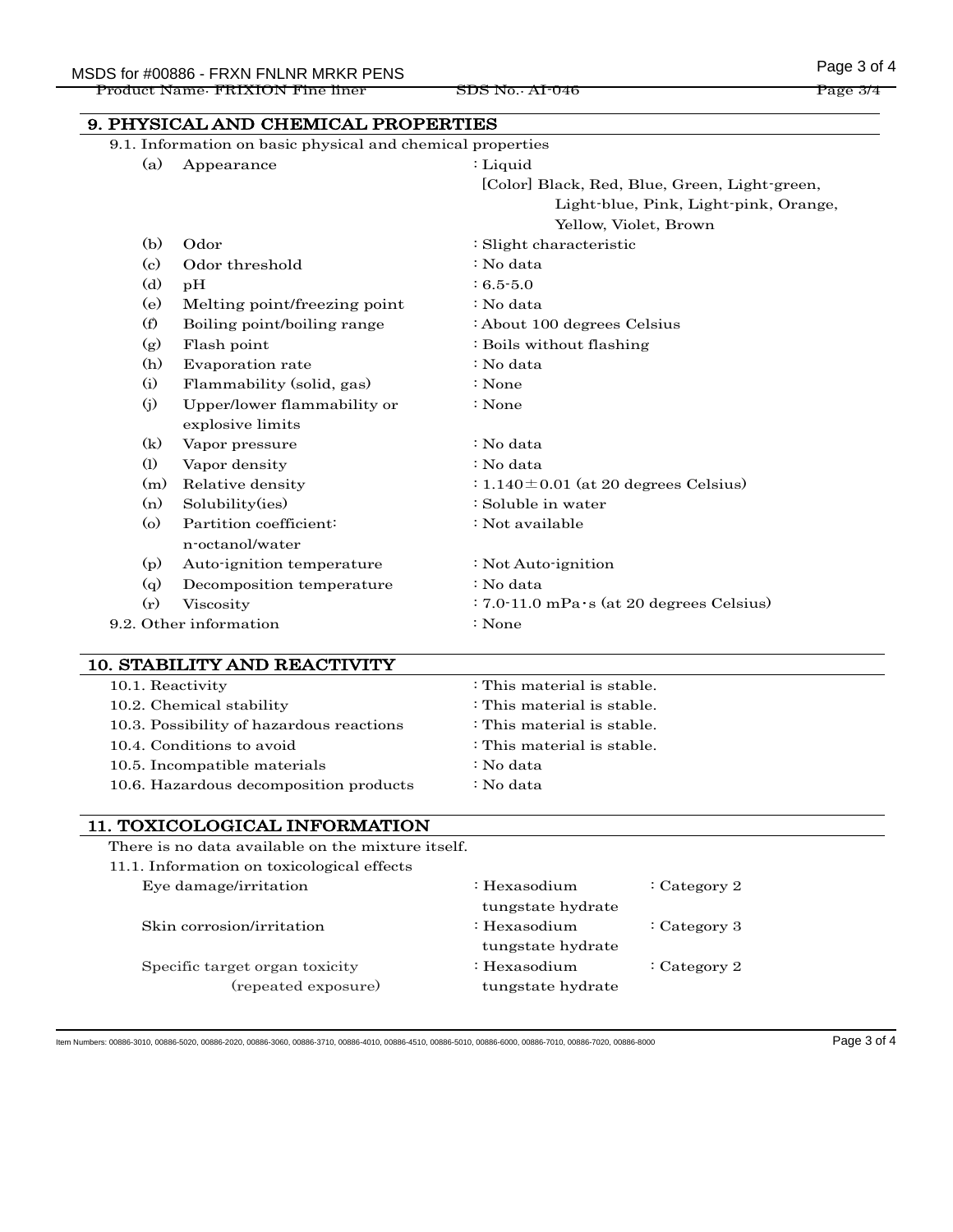Product Name: FRIXION Fine liner SDS No.: AI-046 Page 314

9. PHYSICAL AND CHEMICAL PROPERTIES 9.1. Information on basic physical and chemical properties (a) Appearance : Liquid [Color] Black, Red, Blue, Green, Light-green, Light-blue, Pink, Light-pink, Orange, Yellow, Violet, Brown (b) Odor : Slight characteristic (c) Odor threshold : No data (d) pH  $: 6.5-5.0$ (e) Melting point/freezing point : No data (f) Boiling point/boiling range : About 100 degrees Celsius (g) Flash point : Boils without flashing (h) Evaporation rate : No data (i) Flammability (solid, gas) : None (j) Upper/lower flammability or explosive limits : None (k) Vapor pressure : No data (l) Vapor density : No data (m) Relative density  $: 1.140 \pm 0.01$  (at 20 degrees Celsius) (n) Solubility(ies) : Soluble in water (o) Partition coefficient: n-octanol/water : Not available (p) Auto-ignition temperature : Not Auto-ignition (q) Decomposition temperature : No data (r) Viscosity : 7.0-11.0 mPa・s (at 20 degrees Celsius) 9.2. Other information : None

#### 10. STABILITY AND REACTIVITY

| 10.1. Reactivity                         | : This material is stable. |
|------------------------------------------|----------------------------|
| 10.2. Chemical stability                 | : This material is stable. |
| 10.3. Possibility of hazardous reactions | : This material is stable. |
| 10.4. Conditions to avoid                | : This material is stable. |
| 10.5. Incompatible materials             | : No data                  |
| 10.6. Hazardous decomposition products   | : No data                  |

#### 11. TOXICOLOGICAL INFORMATION

There is no data available on the mixture itself.

| 11.1. Information on toxicological effects |                         |                |
|--------------------------------------------|-------------------------|----------------|
| Eye damage/irritation                      | $\therefore$ Hexasodium | : Category 2   |
|                                            | tungstate hydrate       |                |
| Skin corrosion/irritation                  | $:$ Hexasodium          | : Category $3$ |
|                                            | tungstate hydrate       |                |
| Specific target organ toxicity             | $\therefore$ Hexasodium | : Category 2   |
| (repeated exposure)                        | tungstate hydrate       |                |

Item Numbers: 00886-3010, 00886-5020, 00886-2020, 00886-3060, 00886-3710, 00886-4010, 00886-4510, 00886-5010, 00886-6000, 00886-7010, 00886-7020, 00886-8000 Page 3 of 4